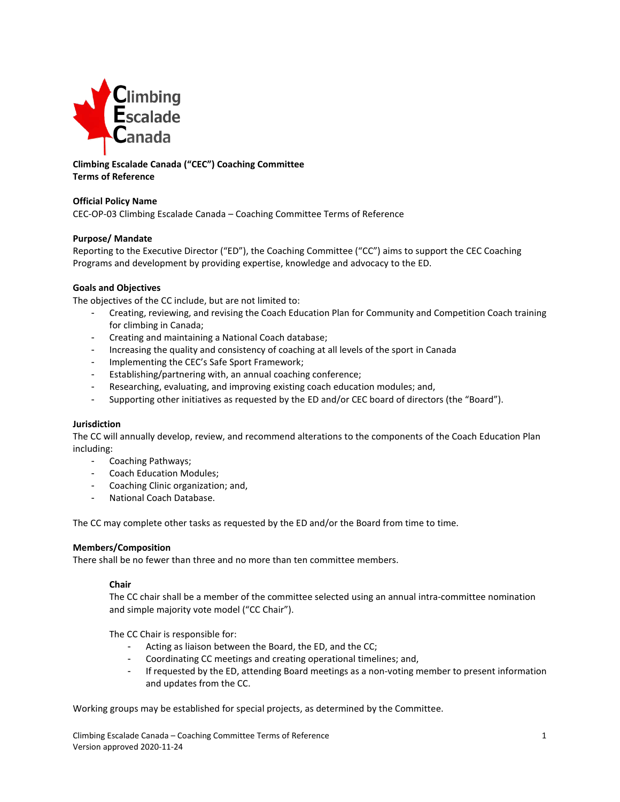

# **Climbing Escalade Canada ("CEC") Coaching Committee Terms of Reference**

# **Official Policy Name**

CEC-OP-03 Climbing Escalade Canada – Coaching Committee Terms of Reference

# **Purpose/ Mandate**

Reporting to the Executive Director ("ED"), the Coaching Committee ("CC") aims to support the CEC Coaching Programs and development by providing expertise, knowledge and advocacy to the ED.

# **Goals and Objectives**

The objectives of the CC include, but are not limited to:

- Creating, reviewing, and revising the Coach Education Plan for Community and Competition Coach training for climbing in Canada;
- Creating and maintaining a National Coach database;
- Increasing the quality and consistency of coaching at all levels of the sport in Canada
- Implementing the CEC's Safe Sport Framework;
- Establishing/partnering with, an annual coaching conference;
- Researching, evaluating, and improving existing coach education modules; and,
- Supporting other initiatives as requested by the ED and/or CEC board of directors (the "Board").

# **Jurisdiction**

The CC will annually develop, review, and recommend alterations to the components of the Coach Education Plan including:

- Coaching Pathways;
- Coach Education Modules;
- Coaching Clinic organization; and,
- National Coach Database.

The CC may complete other tasks as requested by the ED and/or the Board from time to time.

# **Members/Composition**

There shall be no fewer than three and no more than ten committee members.

# **Chair**

The CC chair shall be a member of the committee selected using an annual intra-committee nomination and simple majority vote model ("CC Chair").

The CC Chair is responsible for:

- Acting as liaison between the Board, the ED, and the CC;
- Coordinating CC meetings and creating operational timelines; and,
- If requested by the ED, attending Board meetings as a non-voting member to present information and updates from the CC.

Working groups may be established for special projects, as determined by the Committee.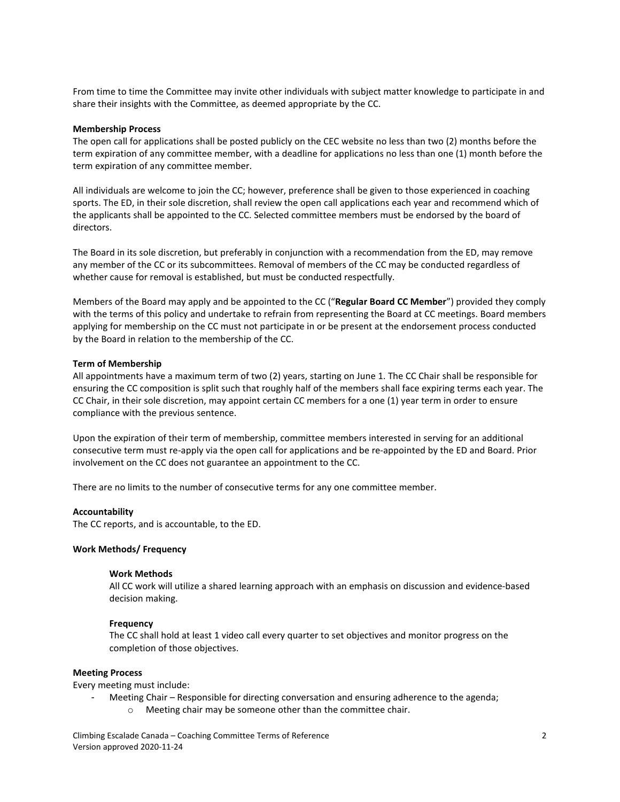From time to time the Committee may invite other individuals with subject matter knowledge to participate in and share their insights with the Committee, as deemed appropriate by the CC.

### **Membership Process**

The open call for applications shall be posted publicly on the CEC website no less than two (2) months before the term expiration of any committee member, with a deadline for applications no less than one (1) month before the term expiration of any committee member.

All individuals are welcome to join the CC; however, preference shall be given to those experienced in coaching sports. The ED, in their sole discretion, shall review the open call applications each year and recommend which of the applicants shall be appointed to the CC. Selected committee members must be endorsed by the board of directors.

The Board in its sole discretion, but preferably in conjunction with a recommendation from the ED, may remove any member of the CC or its subcommittees. Removal of members of the CC may be conducted regardless of whether cause for removal is established, but must be conducted respectfully.

Members of the Board may apply and be appointed to the CC ("**Regular Board CC Member**") provided they comply with the terms of this policy and undertake to refrain from representing the Board at CC meetings. Board members applying for membership on the CC must not participate in or be present at the endorsement process conducted by the Board in relation to the membership of the CC.

### **Term of Membership**

All appointments have a maximum term of two (2) years, starting on June 1. The CC Chair shall be responsible for ensuring the CC composition is split such that roughly half of the members shall face expiring terms each year. The CC Chair, in their sole discretion, may appoint certain CC members for a one (1) year term in order to ensure compliance with the previous sentence.

Upon the expiration of their term of membership, committee members interested in serving for an additional consecutive term must re-apply via the open call for applications and be re-appointed by the ED and Board. Prior involvement on the CC does not guarantee an appointment to the CC.

There are no limits to the number of consecutive terms for any one committee member.

#### **Accountability**

The CC reports, and is accountable, to the ED.

### **Work Methods/ Frequency**

#### **Work Methods**

All CC work will utilize a shared learning approach with an emphasis on discussion and evidence-based decision making.

#### **Frequency**

The CC shall hold at least 1 video call every quarter to set objectives and monitor progress on the completion of those objectives.

### **Meeting Process**

Every meeting must include:

- Meeting Chair Responsible for directing conversation and ensuring adherence to the agenda;
	- o Meeting chair may be someone other than the committee chair.

Climbing Escalade Canada – Coaching Committee Terms of Reference 2 Version approved 2020-11-24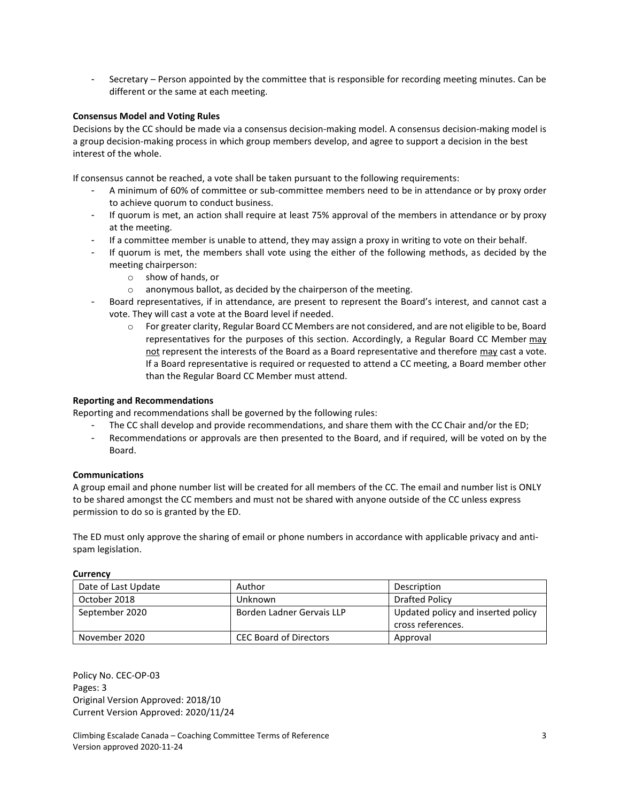- Secretary – Person appointed by the committee that is responsible for recording meeting minutes. Can be different or the same at each meeting.

# **Consensus Model and Voting Rules**

Decisions by the CC should be made via a consensus decision-making model. A consensus decision-making model is a group decision-making process in which group members develop, and agree to support a decision in the best interest of the whole.

If consensus cannot be reached, a vote shall be taken pursuant to the following requirements:

- A minimum of 60% of committee or sub-committee members need to be in attendance or by proxy order to achieve quorum to conduct business.
- If quorum is met, an action shall require at least 75% approval of the members in attendance or by proxy at the meeting.
- If a committee member is unable to attend, they may assign a proxy in writing to vote on their behalf.
- If quorum is met, the members shall vote using the either of the following methods, as decided by the meeting chairperson:
	- o show of hands, or
	- o anonymous ballot, as decided by the chairperson of the meeting.
- Board representatives, if in attendance, are present to represent the Board's interest, and cannot cast a vote. They will cast a vote at the Board level if needed.
	- o For greater clarity, Regular Board CC Members are not considered, and are not eligible to be, Board representatives for the purposes of this section. Accordingly, a Regular Board CC Member may not represent the interests of the Board as a Board representative and therefore may cast a vote. If a Board representative is required or requested to attend a CC meeting, a Board member other than the Regular Board CC Member must attend.

# **Reporting and Recommendations**

Reporting and recommendations shall be governed by the following rules:

- The CC shall develop and provide recommendations, and share them with the CC Chair and/or the ED;
- Recommendations or approvals are then presented to the Board, and if required, will be voted on by the Board.

# **Communications**

A group email and phone number list will be created for all members of the CC. The email and number list is ONLY to be shared amongst the CC members and must not be shared with anyone outside of the CC unless express permission to do so is granted by the ED.

The ED must only approve the sharing of email or phone numbers in accordance with applicable privacy and antispam legislation.

**Currency**

| Date of Last Update | Author                        | Description                        |
|---------------------|-------------------------------|------------------------------------|
| October 2018        | Unknown                       | <b>Drafted Policy</b>              |
| September 2020      | Borden Ladner Gervais LLP     | Updated policy and inserted policy |
|                     |                               | cross references.                  |
| November 2020       | <b>CEC Board of Directors</b> | Approval                           |

Policy No. CEC-OP-03 Pages: 3 Original Version Approved: 2018/10 Current Version Approved: 2020/11/24